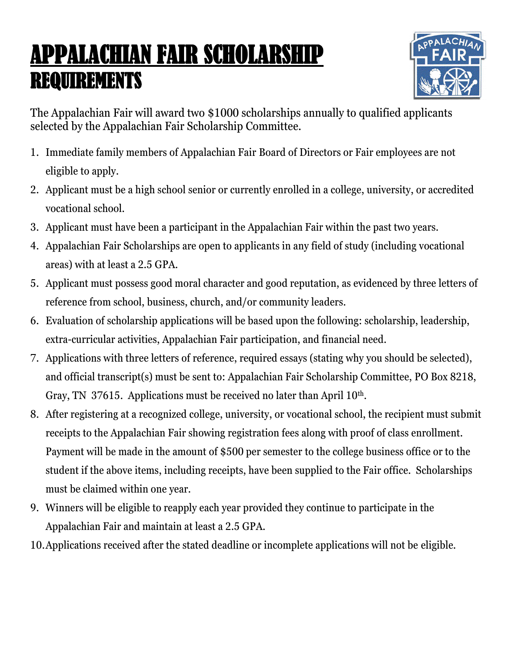## APPALACHIAN FAIR SCHOLARSHIP REQUIREMENTS



The Appalachian Fair will award two \$1000 scholarships annually to qualified applicants selected by the Appalachian Fair Scholarship Committee.

- 1. Immediate family members of Appalachian Fair Board of Directors or Fair employees are not eligible to apply.
- 2. Applicant must be a high school senior or currently enrolled in a college, university, or accredited vocational school.
- 3. Applicant must have been a participant in the Appalachian Fair within the past two years.
- 4. Appalachian Fair Scholarships are open to applicants in any field of study (including vocational areas) with at least a 2.5 GPA.
- 5. Applicant must possess good moral character and good reputation, as evidenced by three letters of reference from school, business, church, and/or community leaders.
- 6. Evaluation of scholarship applications will be based upon the following: scholarship, leadership, extra-curricular activities, Appalachian Fair participation, and financial need.
- 7. Applications with three letters of reference, required essays (stating why you should be selected), and official transcript(s) must be sent to: Appalachian Fair Scholarship Committee, PO Box 8218, Gray, TN 37615. Applications must be received no later than April 10<sup>th</sup>.
- 8. After registering at a recognized college, university, or vocational school, the recipient must submit receipts to the Appalachian Fair showing registration fees along with proof of class enrollment. Payment will be made in the amount of \$500 per semester to the college business office or to the student if the above items, including receipts, have been supplied to the Fair office. Scholarships must be claimed within one year.
- 9. Winners will be eligible to reapply each year provided they continue to participate in the Appalachian Fair and maintain at least a 2.5 GPA.
- 10.Applications received after the stated deadline or incomplete applications will not be eligible.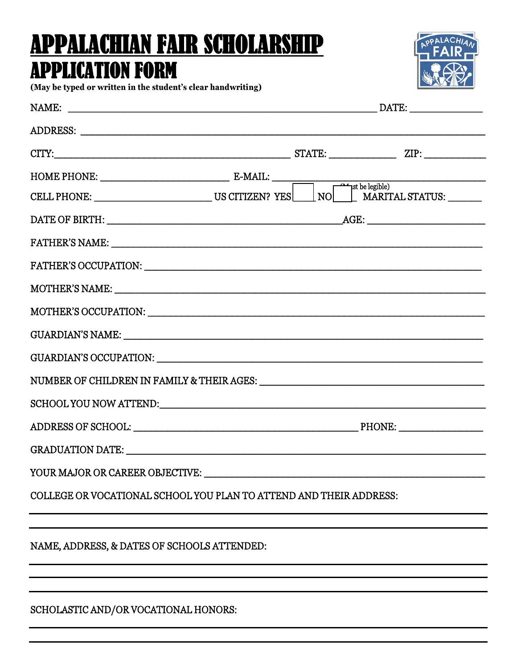# APPALACHIAN FAIR SCHOLARSHIP

### APPLICATION FORM



**(May be typed or written in the student's clear handwriting)**

| COLLEGE OR VOCATIONAL SCHOOL YOU PLAN TO ATTEND AND THEIR ADDRESS: |  |  |  |  |
|--------------------------------------------------------------------|--|--|--|--|
|                                                                    |  |  |  |  |
| NAME, ADDRESS, & DATES OF SCHOOLS ATTENDED:                        |  |  |  |  |
|                                                                    |  |  |  |  |
|                                                                    |  |  |  |  |

#### SCHOLASTIC AND/OR VOCATIONAL HONORS: